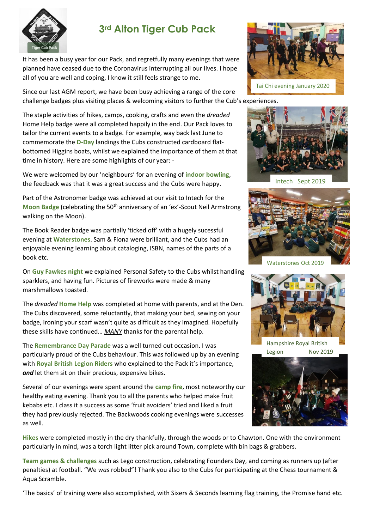

## **3rd Alton Tiger Cub Pack**

It has been a busy year for our Pack, and regretfully many evenings that were planned have ceased due to the Coronavirus interrupting all our lives. I hope all of you are well and coping, I know it still feels strange to me.

Since our last AGM report, we have been busy achieving a range of the core challenge badges plus visiting places & welcoming visitors to further the Cub's experiences.

The staple activities of hikes, camps, cooking, crafts and even the *dreaded* Home Help badge were all completed happily in the end. Our Pack loves to tailor the current events to a badge. For example, way back last June to commemorate the **D-Day** landings the Cubs constructed cardboard flatbottomed Higgins boats, whilst we explained the importance of them at that time in history. Here are some highlights of our year: -

We were welcomed by our 'neighbours' for an evening of **indoor bowling**, the feedback was that it was a great success and the Cubs were happy.

Part of the Astronomer badge was achieved at our visit to Intech for the **Moon Badge** (celebrating the 50<sup>th</sup> anniversary of an 'ex'-Scout Neil Armstrong walking on the Moon).

The Book Reader badge was partially 'ticked off' with a hugely sucessful evening at **Waterstones**. Sam & Fiona were brilliant, and the Cubs had an enjoyable evening learning about cataloging, ISBN, names of the parts of a book etc.

On **Guy Fawkes night** we explained Personal Safety to the Cubs whilst handling sparklers, and having fun. Pictures of fireworks were made & many marshmallows toasted.

The *dreaded* **Home Help** was completed at home with parents, and at the Den. The Cubs discovered, some reluctantly, that making your bed, sewing on your badge, ironing your scarf wasn't quite as difficult as they imagined. Hopefully these skills have continued… *MANY* thanks for the parental help.

The **Remembrance Day Parade** was a well turned out occasion. I was particularly proud of the Cubs behaviour. This was followed up by an evening with **Royal British Legion Riders** who explained to the Pack it's importance, and let them sit on their precious, expensive bikes.

Several of our evenings were spent around the **camp fire**, most noteworthy our healthy eating evening. Thank you to all the parents who helped make fruit kebabs etc. I class it a success as some 'fruit avoiders' tried and liked a fruit they had previously rejected. The Backwoods cooking evenings were successes as well.





Intech Sept 2019



Waterstones Oct 2019



Hampshire Royal British Legion Nov 2019



**Hikes** were completed mostly in the dry thankfully, through the woods or to Chawton. One with the environment particularly in mind, was a torch light litter pick around Town, complete with bin bags & grabbers.

**Team games & challenges** such as Lego construction, celebrating Founders Day, and coming as runners up (after penalties) at football. "We *was* robbed"! Thank you also to the Cubs for participating at the Chess tournament & Aqua Scramble.

'The basics' of training were also accomplished, with Sixers & Seconds learning flag training, the Promise hand etc.